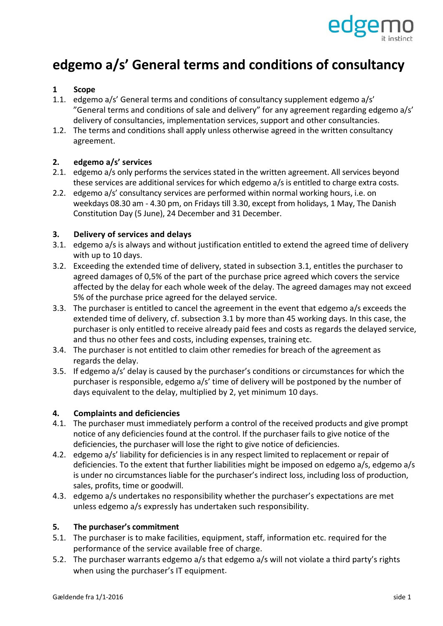

# **edgemo a/s' General terms and conditions of consultancy**

# **1 Scope**

- 1.1. edgemo a/s' General terms and conditions of consultancy supplement edgemo a/s' "General terms and conditions of sale and delivery" for any agreement regarding edgemo a/s' delivery of consultancies, implementation services, support and other consultancies.
- 1.2. The terms and conditions shall apply unless otherwise agreed in the written consultancy agreement.

## **2. edgemo a/s' services**

- 2.1. edgemo a/s only performs the services stated in the written agreement. All services beyond these services are additional services for which edgemo a/s is entitled to charge extra costs.
- 2.2. edgemo a/s' consultancy services are performed within normal working hours, i.e. on weekdays 08.30 am ‐ 4.30 pm, on Fridays till 3.30, except from holidays, 1 May, The Danish Constitution Day (5 June), 24 December and 31 December.

## **3. Delivery of services and delays**

- 3.1. edgemo a/s is always and without justification entitled to extend the agreed time of delivery with up to 10 days.
- 3.2. Exceeding the extended time of delivery, stated in subsection 3.1, entitles the purchaser to agreed damages of 0,5% of the part of the purchase price agreed which covers the service affected by the delay for each whole week of the delay. The agreed damages may not exceed 5% of the purchase price agreed for the delayed service.
- 3.3. The purchaser is entitled to cancel the agreement in the event that edgemo a/s exceeds the extended time of delivery, cf. subsection 3.1 by more than 45 working days. In this case, the purchaser is only entitled to receive already paid fees and costs as regards the delayed service, and thus no other fees and costs, including expenses, training etc.
- 3.4. The purchaser is not entitled to claim other remedies for breach of the agreement as regards the delay.
- 3.5. If edgemo a/s' delay is caused by the purchaser's conditions or circumstances for which the purchaser is responsible, edgemo a/s' time of delivery will be postponed by the number of days equivalent to the delay, multiplied by 2, yet minimum 10 days.

## **4. Complaints and deficiencies**

- 4.1. The purchaser must immediately perform a control of the received products and give prompt notice of any deficiencies found at the control. If the purchaser fails to give notice of the deficiencies, the purchaser will lose the right to give notice of deficiencies.
- 4.2. edgemo a/s' liability for deficiencies is in any respect limited to replacement or repair of deficiencies. To the extent that further liabilities might be imposed on edgemo a/s, edgemo a/s is under no circumstances liable for the purchaser's indirect loss, including loss of production, sales, profits, time or goodwill.
- 4.3. edgemo a/s undertakes no responsibility whether the purchaser's expectations are met unless edgemo a/s expressly has undertaken such responsibility.

#### **5. The purchaser's commitment**

- 5.1. The purchaser is to make facilities, equipment, staff, information etc. required for the performance of the service available free of charge.
- 5.2. The purchaser warrants edgemo a/s that edgemo a/s will not violate a third party's rights when using the purchaser's IT equipment.